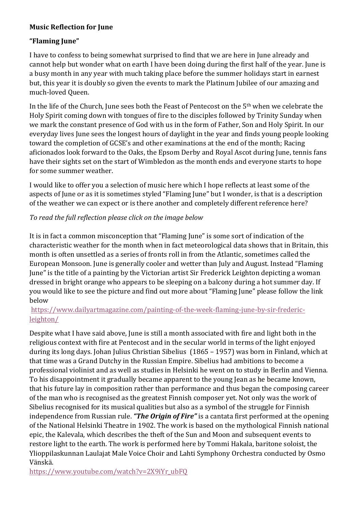## **Music Reflection for June**

## **"Flaming June"**

I have to confess to being somewhat surprised to find that we are here in June already and cannot help but wonder what on earth I have been doing during the first half of the year. June is a busy month in any year with much taking place before the summer holidays start in earnest but, this year it is doubly so given the events to mark the Platinum Jubilee of our amazing and much-loved Queen.

In the life of the Church, June sees both the Feast of Pentecost on the 5<sup>th</sup> when we celebrate the Holy Spirit coming down with tongues of fire to the disciples followed by Trinity Sunday when we mark the constant presence of God with us in the form of Father, Son and Holy Spirit. In our everyday lives June sees the longest hours of daylight in the year and finds young people looking toward the completion of GCSE's and other examinations at the end of the month; Racing aficionados look forward to the Oaks, the Epsom Derby and Royal Ascot during June, tennis fans have their sights set on the start of Wimbledon as the month ends and everyone starts to hope for some summer weather.

I would like to offer you a selection of music here which I hope reflects at least some of the aspects of June or as it is sometimes styled "Flaming June" but I wonder, is that is a description of the weather we can expect or is there another and completely different reference here?

## To read the full reflection please click on the image below

It is in fact a common misconception that "Flaming June" is some sort of indication of the characteristic weather for the month when in fact meteorological data shows that in Britain, this month is often unsettled as a series of fronts roll in from the Atlantic, sometimes called the European Monsoon. June is generally cooler and wetter than July and August. Instead "Flaming" June" is the title of a painting by the Victorian artist Sir Frederick Leighton depicting a woman dressed in bright orange who appears to be sleeping on a balcony during a hot summer day. If you would like to see the picture and find out more about "Flaming June" please follow the link below

## https://www.dailyartmagazine.com/painting-of-the-week-flaming-june-by-sir-fredericleighton/

Despite what I have said above, June is still a month associated with fire and light both in the religious context with fire at Pentecost and in the secular world in terms of the light enjoyed during its long days. Johan Julius Christian Sibelius (1865 – 1957) was born in Finland, which at that time was a Grand Dutchy in the Russian Empire. Sibelius had ambitions to become a professional violinist and as well as studies in Helsinki he went on to study in Berlin and Vienna. To his disappointment it gradually became apparent to the young Jean as he became known, that his future lay in composition rather than performance and thus began the composing career of the man who is recognised as the greatest Finnish composer yet. Not only was the work of Sibelius recognised for its musical qualities but also as a symbol of the struggle for Finnish independence from Russian rule. "The Origin of Fire" is a cantata first performed at the opening of the National Helsinki Theatre in 1902. The work is based on the mythological Finnish national epic, the Kalevala, which describes the theft of the Sun and Moon and subsequent events to restore light to the earth. The work is performed here by Tommi Hakala, baritone soloist, the Ylioppilaskunnan Laulajat Male Voice Choir and Lahti Symphony Orchestra conducted by Osmo Vänskä.

https://www.youtube.com/watch?v=2X9iYr\_ubFQ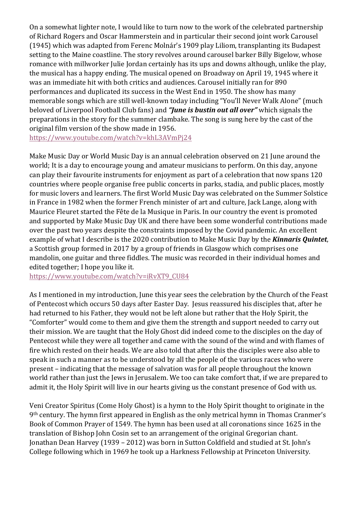On a somewhat lighter note, I would like to turn now to the work of the celebrated partnership of Richard Rogers and Oscar Hammerstein and in particular their second joint work Carousel (1945) which was adapted from Ferenc Molnár's 1909 play Liliom, transplanting its Budapest setting to the Maine coastline. The story revolves around carousel barker Billy Bigelow, whose romance with millworker Julie Jordan certainly has its ups and downs although, unlike the play, the musical has a happy ending. The musical opened on Broadway on April 19, 1945 where it was an immediate hit with both critics and audiences. Carousel initially ran for 890 performances and duplicated its success in the West End in 1950. The show has many memorable songs which are still well-known today including "You'll Never Walk Alone" (much beloved of Liverpool Football Club fans) and **"June is bustin out all over"** which signals the preparations in the story for the summer clambake. The song is sung here by the cast of the original film version of the show made in 1956.

https://www.youtube.com/watch?v=khL3AVmPj24

Make Music Day or World Music Day is an annual celebration observed on 21 June around the world; It is a day to encourage young and amateur musicians to perform. On this day, anyone can play their favourite instruments for enjoyment as part of a celebration that now spans 120 countries where people organise free public concerts in parks, stadia, and public places, mostly for music lovers and learners. The first World Music Day was celebrated on the Summer Solstice in France in 1982 when the former French minister of art and culture, Jack Lange, along with Maurice Fleuret started the Fête de la Musique in Paris. In our country the event is promoted and supported by Make Music Day UK and there have been some wonderful contributions made over the past two years despite the constraints imposed by the Covid pandemic. An excellent example of what I describe is the 2020 contribution to Make Music Day by the **Kinnaris Quintet**, a Scottish group formed in 2017 by a group of friends in Glasgow which comprises one mandolin, one guitar and three fiddles. The music was recorded in their individual homes and edited together; I hope you like it.

https://www.youtube.com/watch?v=iRvXT9\_CU84

As I mentioned in my introduction, June this year sees the celebration by the Church of the Feast of Pentecost which occurs 50 days after Easter Day. Jesus reassured his disciples that, after he had returned to his Father, they would not be left alone but rather that the Holy Spirit, the "Comforter" would come to them and give them the strength and support needed to carry out their mission. We are taught that the Holy Ghost did indeed come to the disciples on the day of Pentecost while they were all together and came with the sound of the wind and with flames of fire which rested on their heads. We are also told that after this the disciples were also able to speak in such a manner as to be understood by all the people of the various races who were present – indicating that the message of salvation was for all people throughout the known world rather than just the Jews in Jerusalem. We too can take comfort that, if we are prepared to admit it, the Holy Spirit will live in our hearts giving us the constant presence of God with us.

Veni Creator Spiritus (Come Holy Ghost) is a hymn to the Holy Spirit thought to originate in the 9<sup>th</sup> century. The hymn first appeared in English as the only metrical hymn in Thomas Cranmer's Book of Common Prayer of 1549. The hymn has been used at all coronations since 1625 in the translation of Bishop John Cosin set to an arrangement of the original Gregorian chant. Jonathan Dean Harvey (1939 - 2012) was born in Sutton Coldfield and studied at St. John's College following which in 1969 he took up a Harkness Fellowship at Princeton University.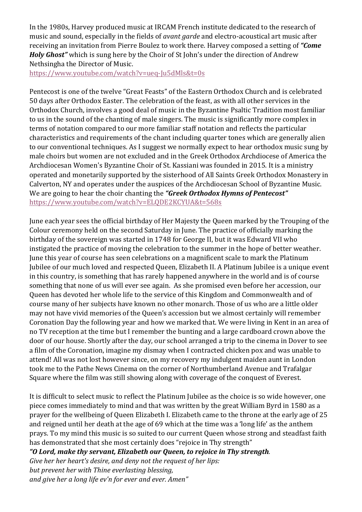In the 1980s, Harvey produced music at IRCAM French institute dedicated to the research of music and sound, especially in the fields of *avant garde* and electro-acoustical art music after receiving an invitation from Pierre Boulez to work there. Harvey composed a setting of "Come *Holy Ghost*" which is sung here by the Choir of St John's under the direction of Andrew Nethsingha the Director of Music.

https://www.youtube.com/watch?v=ueq-Ju5dMls&t=0s

Pentecost is one of the twelve "Great Feasts" of the Eastern Orthodox Church and is celebrated 50 days after Orthodox Easter. The celebration of the feast, as with all other services in the Orthodox Church, involves a good deal of music in the Byzantine Psaltic Tradition most familiar to us in the sound of the chanting of male singers. The music is significantly more complex in terms of notation compared to our more familiar staff notation and reflects the particular characteristics and requirements of the chant including quarter tones which are generally alien to our conventional techniques. As I suggest we normally expect to hear orthodox music sung by male choirs but women are not excluded and in the Greek Orthodox Archdiocese of America the Archdiocesan Women's Byzantine Choir of St. Kassiani was founded in 2015. It is a ministry operated and monetarily supported by the sisterhood of All Saints Greek Orthodox Monastery in Calverton, NY and operates under the auspices of the Archdiocesan School of Byzantine Music. We are going to hear the choir chanting the "Greek Orthodox Hymns of Pentecost" https://www.youtube.com/watch?v=ELQDE2KCYUA&t=568s

June each year sees the official birthday of Her Majesty the Queen marked by the Trouping of the Colour ceremony held on the second Saturday in June. The practice of officially marking the birthday of the sovereign was started in 1748 for George II, but it was Edward VII who instigated the practice of moving the celebration to the summer in the hope of better weather. June this year of course has seen celebrations on a magnificent scale to mark the Platinum Jubilee of our much loved and respected Queen, Elizabeth II. A Platinum Jubilee is a unique event in this country, is something that has rarely happened anywhere in the world and is of course something that none of us will ever see again. As she promised even before her accession, our Queen has devoted her whole life to the service of this Kingdom and Commonwealth and of course many of her subjects have known no other monarch. Those of us who are a little older may not have vivid memories of the Queen's accession but we almost certainly will remember Coronation Day the following year and how we marked that. We were living in Kent in an area of no TV reception at the time but I remember the bunting and a large cardboard crown above the door of our house. Shortly after the day, our school arranged a trip to the cinema in Dover to see a film of the Coronation, imagine my dismay when I contracted chicken pox and was unable to attend! All was not lost however since, on my recovery my indulgent maiden aunt in London took me to the Pathe News Cinema on the corner of Northumberland Avenue and Trafalgar Square where the film was still showing along with coverage of the conquest of Everest.

It is difficult to select music to reflect the Platinum Jubilee as the choice is so wide however, one piece comes immediately to mind and that was written by the great William Byrd in 1580 as a prayer for the wellbeing of Queen Elizabeth I. Elizabeth came to the throne at the early age of 25 and reigned until her death at the age of 69 which at the time was a 'long life' as the anthem prays. To my mind this music is so suited to our current Queen whose strong and steadfast faith has demonstrated that she most certainly does "rejoice in Thy strength"

*"O Lord, make thy servant, Elizabeth our Queen, to rejoice in Thy strength.* 

Give her her heart's desire, and deny not the request of her lips: but prevent her with Thine everlasting blessing, *and give her a long life ev'n for ever and ever. Amen"*